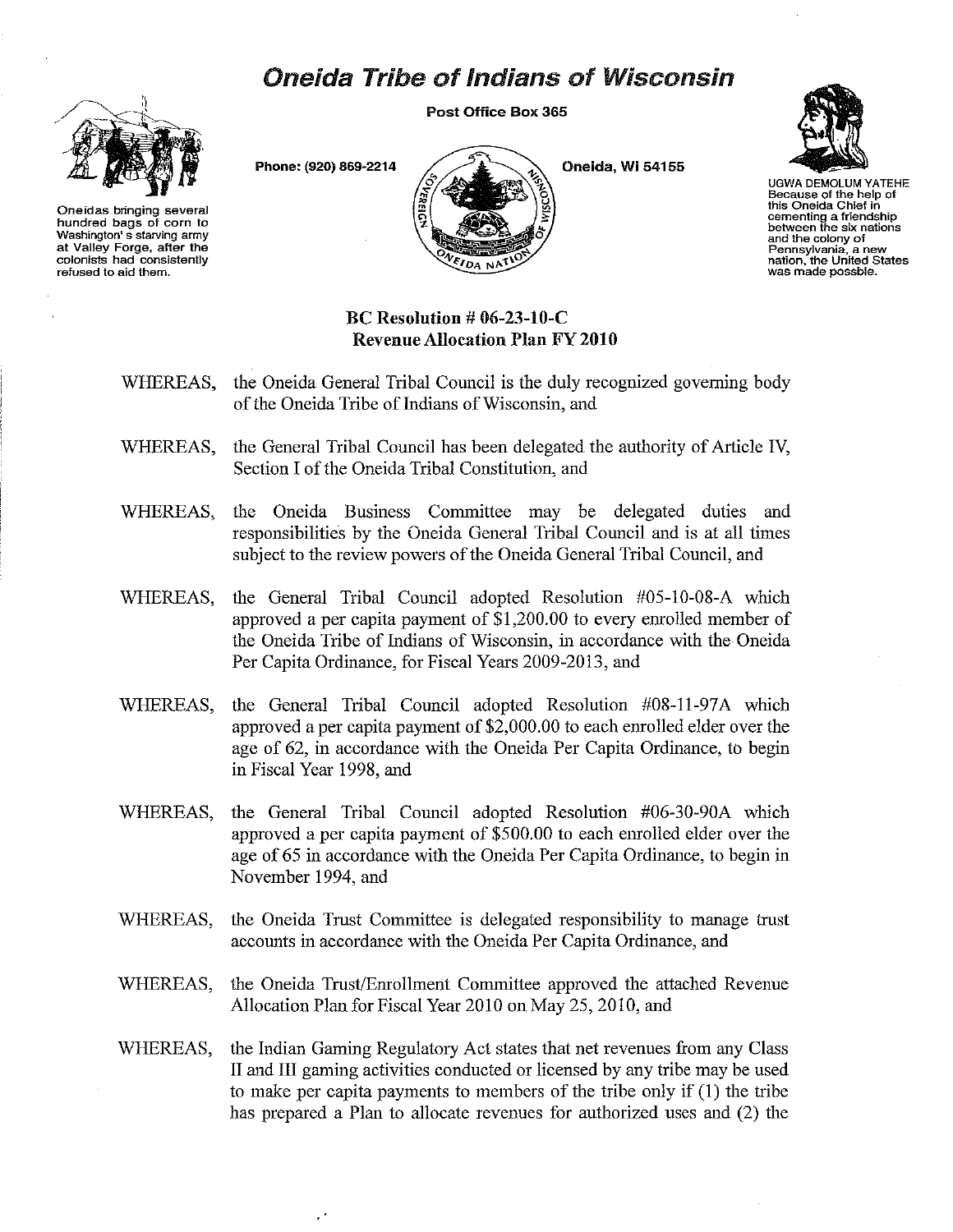## Oneida Tribe of Indians of Wisconsin





**Oneidas bringing several hundred bags of corn to Washington's starving army at Valley Forge, after the colonists had consistently refused to aid them.**

Phone: (920) 869-2214



Oneida, Wi 54155



UGWA DEMOLUM YATEHE **Because of the help of this Oneida Chief in cementing a friendship between the six nations and the colony of Pennsylvania, a new nation, the United States was made** posable.

## BC Resolution # 06-23-10-C Revenue Allocation Plan FY 2010

- WHEREAS, the Oneida General Tribal Council is the duly recognized governing body of the Oneida Tribe of Indians of Wisconsin, and
- WHEREAS, the General Tribal Council has been delegated the authority of Article IV, Section I of the Oneida Tribal Constitution, and
- WHEREAS, the Oneida Business Committee may be delegated duties and responsibilities by the Oneida General Tribal Council and is at all times subject to the review powers of the Oneida General Tribal Council, and
- WHEREAS, the General Tribal Council adopted Resolution #05-10-08-A which approved a per capita payment of \$1,200.00 to every enrolled member of the Oneida Tribe of Indians of Wisconsin, in accordance with the Oneida Per Capita Ordinance, for Fiscal Years 2009-2013, and
- WHEREAS, the General Tribal Council adopted Resolution #08-11-97A which approved a per capita payment of \$2,000.00 to each enrolled elder over the age of 62, in accordance with the Oneida Per Capita Ordinance, to begin in Fiscal Year 1998, and
- WHEREAS, the General Tribal Council adopted Resolution #06-30-90A which approved a per capita payment of \$500.00 to each enrolled elder over the age of 65 in accordance with the Oneida Per Capita Ordinance, to begin in November 1994, and
- WHEREAS, the Oneida Trust Committee is delegated responsibility to manage trust accounts in accordance with the Oneida Per Capita Ordinance, and
- WHEREAS, the Oneida Trust/Enrollment Committee approved the attached Revenue Allocation Plan for Fiscal Year 2010 on May 25,2010, and
- WHEREAS, the Indian Gaming Regulatory Act states that net revenues from any Class II and III gaming activities conducted or licensed by any tribe may be used to make per capita payments to members of the tribe only if (l) the tribe has prepared a Plan to allocate revenues for authorized uses and (2) the